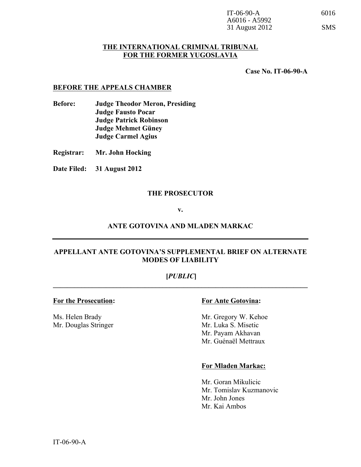| IT-06-90- $A$   |  |
|-----------------|--|
| $A6016 - A5992$ |  |
| 31 August 2012  |  |

#### **THE INTERNATIONAL CRIMINAL TRIBUNAL FOR THE FORMER YUGOSLAVIA**

**Case No. IT-06-90-A**

#### **BEFORE THE APPEALS CHAMBER**

- **Before: Judge Theodor Meron, Presiding Judge Fausto Pocar Judge Patrick Robinson Judge Mehmet Güney Judge Carmel Agius**
- **Registrar: Mr. John Hocking**
- **Date Filed: 31 August 2012**

#### **THE PROSECUTOR**

#### **v.**

#### **ANTE GOTOVINA AND MLADEN MARKAC**

#### **APPELLANT ANTE GOTOVINA'S SUPPLEMENTAL BRIEF ON ALTERNATE MODES OF LIABILITY**

# **[***PUBLIC***]**  $\mathcal{L}_\mathcal{L} = \{ \mathcal{L}_\mathcal{L} = \{ \mathcal{L}_\mathcal{L} = \{ \mathcal{L}_\mathcal{L} = \{ \mathcal{L}_\mathcal{L} = \{ \mathcal{L}_\mathcal{L} = \{ \mathcal{L}_\mathcal{L} = \{ \mathcal{L}_\mathcal{L} = \{ \mathcal{L}_\mathcal{L} = \{ \mathcal{L}_\mathcal{L} = \{ \mathcal{L}_\mathcal{L} = \{ \mathcal{L}_\mathcal{L} = \{ \mathcal{L}_\mathcal{L} = \{ \mathcal{L}_\mathcal{L} = \{ \mathcal{L}_\mathcal{$

#### **For the Prosecution: For Ante Gotovina:**

Mr. Douglas Stringer

Ms. Helen Brady Mr. Gregory W. Kehoe<br>Mr. Douglas Stringer Mr. Luka S. Misetic Mr. Payam Akhavan Mr. Guénaël Mettraux

#### **For Mladen Markac:**

Mr. Goran Mikulicic Mr. Tomislav Kuzmanovic Mr. John Jones Mr. Kai Ambos

SMS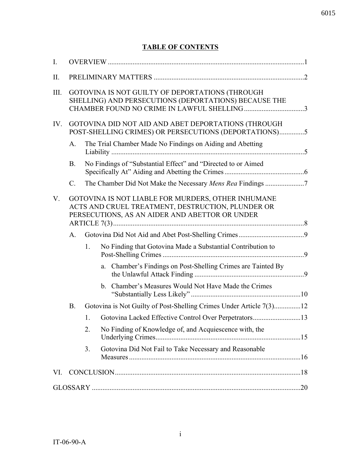# **TABLE OF CONTENTS**

| I.        |                 |    |                                                                                                                                                           |  |
|-----------|-----------------|----|-----------------------------------------------------------------------------------------------------------------------------------------------------------|--|
| $\prod$ . |                 |    |                                                                                                                                                           |  |
| III.      |                 |    | GOTOVINA IS NOT GUILTY OF DEPORTATIONS (THROUGH<br>SHELLING) AND PERSECUTIONS (DEPORTATIONS) BECAUSE THE                                                  |  |
| IV.       |                 |    | GOTOVINA DID NOT AID AND ABET DEPORTATIONS (THROUGH<br>POST-SHELLING CRIMES) OR PERSECUTIONS (DEPORTATIONS)5                                              |  |
|           | A.              |    | The Trial Chamber Made No Findings on Aiding and Abetting                                                                                                 |  |
|           | <b>B.</b>       |    | No Findings of "Substantial Effect" and "Directed to or Aimed                                                                                             |  |
|           | $\mathcal{C}$ . |    | The Chamber Did Not Make the Necessary Mens Rea Findings 7                                                                                                |  |
| V.        |                 |    | GOTOVINA IS NOT LIABLE FOR MURDERS, OTHER INHUMANE<br>ACTS AND CRUEL TREATMENT, DESTRUCTION, PLUNDER OR<br>PERSECUTIONS, AS AN AIDER AND ABETTOR OR UNDER |  |
|           | A.              |    |                                                                                                                                                           |  |
|           |                 | 1. | No Finding that Gotovina Made a Substantial Contribution to                                                                                               |  |
|           |                 |    | a. Chamber's Findings on Post-Shelling Crimes are Tainted By                                                                                              |  |
|           |                 |    | b. Chamber's Measures Would Not Have Made the Crimes                                                                                                      |  |
|           | B.              |    | Gotovina is Not Guilty of Post-Shelling Crimes Under Article 7(3)12                                                                                       |  |
|           |                 | 1. |                                                                                                                                                           |  |
|           |                 | 2. | No Finding of Knowledge of, and Acquiescence with, the                                                                                                    |  |
|           |                 | 3. | Gotovina Did Not Fail to Take Necessary and Reasonable                                                                                                    |  |
| VI.       |                 |    |                                                                                                                                                           |  |
|           |                 |    |                                                                                                                                                           |  |
|           |                 |    |                                                                                                                                                           |  |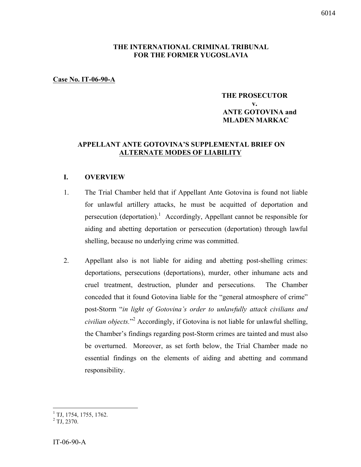# **THE INTERNATIONAL CRIMINAL TRIBUNAL FOR THE FORMER YUGOSLAVIA**

#### **Case No. IT-06-90-A**

## **THE PROSECUTOR v. ANTE GOTOVINA and MLADEN MARKAC**

# **APPELLANT ANTE GOTOVINA'S SUPPLEMENTAL BRIEF ON ALTERNATE MODES OF LIABILITY**

#### **I. OVERVIEW**

- 1. The Trial Chamber held that if Appellant Ante Gotovina is found not liable for unlawful artillery attacks, he must be acquitted of deportation and persecution (deportation).<sup>1</sup> Accordingly, Appellant cannot be responsible for aiding and abetting deportation or persecution (deportation) through lawful shelling, because no underlying crime was committed.
- 2. Appellant also is not liable for aiding and abetting post-shelling crimes: deportations, persecutions (deportations), murder, other inhumane acts and cruel treatment, destruction, plunder and persecutions. The Chamber conceded that it found Gotovina liable for the "general atmosphere of crime" post-Storm "*in light of Gotovina's order to unlawfully attack civilians and civilian objects.*" <sup>2</sup> Accordingly, if Gotovina is not liable for unlawful shelling, the Chamber's findings regarding post-Storm crimes are tainted and must also be overturned. Moreover, as set forth below, the Trial Chamber made no essential findings on the elements of aiding and abetting and command responsibility.

 $1$ <sup>1</sup> TJ, 1754, 1755, 1762.

 $^{2}$  TJ, 2370.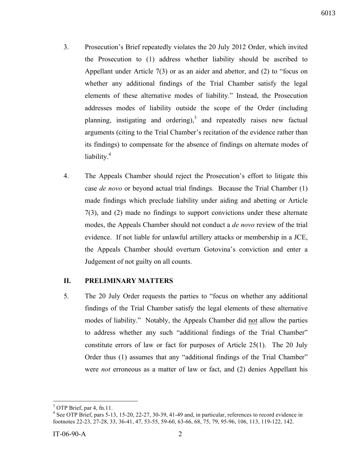- 3. Prosecution's Brief repeatedly violates the 20 July 2012 Order, which invited the Prosecution to (1) address whether liability should be ascribed to Appellant under Article 7(3) or as an aider and abettor, and (2) to "focus on whether any additional findings of the Trial Chamber satisfy the legal elements of these alternative modes of liability." Instead, the Prosecution addresses modes of liability outside the scope of the Order (including planning, instigating and ordering), and repeatedly raises new factual arguments (citing to the Trial Chamber's recitation of the evidence rather than its findings) to compensate for the absence of findings on alternate modes of liability.<sup>4</sup>
- 4. The Appeals Chamber should reject the Prosecution's effort to litigate this case *de novo* or beyond actual trial findings. Because the Trial Chamber (1) made findings which preclude liability under aiding and abetting or Article 7(3), and (2) made no findings to support convictions under these alternate modes, the Appeals Chamber should not conduct a *de novo* review of the trial evidence. If not liable for unlawful artillery attacks or membership in a JCE, the Appeals Chamber should overturn Gotovina's conviction and enter a Judgement of not guilty on all counts.

#### **II. PRELIMINARY MATTERS**

5. The 20 July Order requests the parties to "focus on whether any additional findings of the Trial Chamber satisfy the legal elements of these alternative modes of liability." Notably, the Appeals Chamber did not allow the parties to address whether any such "additional findings of the Trial Chamber" constitute errors of law or fact for purposes of Article 25(1). The 20 July Order thus (1) assumes that any "additional findings of the Trial Chamber" were *not* erroneous as a matter of law or fact, and (2) denies Appellant his

<sup>&</sup>lt;sup>3</sup> OTP Brief, par 4, fn.11.

<sup>&</sup>lt;sup>4</sup> See OTP Brief, pars 5-13, 15-20, 22-27, 30-39, 41-49 and, in particular, references to record evidence in footnotes 22-23, 27-28, 33, 36-41, 47, 53-55, 59-60, 63-66, 68, 75, 79, 95-96, 106, 113, 119-122, 142.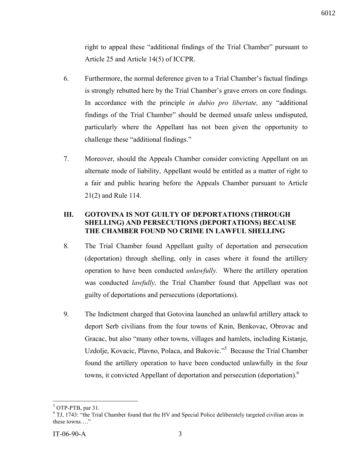right to appeal these "additional findings of the Trial Chamber" pursuant to Article 25 and Article 14(5) of ICCPR.

- 6. Furthermore, the normal deference given to a Trial Chamber's factual findings is strongly rebutted here by the Trial Chamber's grave errors on core findings. In accordance with the principle *in dubio pro libertate,* any "additional findings of the Trial Chamber" should be deemed unsafe unless undisputed, particularly where the Appellant has not been given the opportunity to challenge these "additional findings."
- 7. Moreover, should the Appeals Chamber consider convicting Appellant on an alternate mode of liability, Appellant would be entitled as a matter of right to a fair and public hearing before the Appeals Chamber pursuant to Article 21(2) and Rule 114.

# **III. GOTOVINA IS NOT GUILTY OF DEPORTATIONS (THROUGH SHELLING) AND PERSECUTIONS (DEPORTATIONS) BECAUSE THE CHAMBER FOUND NO CRIME IN LAWFUL SHELLING**

- 8. The Trial Chamber found Appellant guilty of deportation and persecution (deportation) through shelling, only in cases where it found the artillery operation to have been conducted *unlawfully.* Where the artillery operation was conducted *lawfully,* the Trial Chamber found that Appellant was not guilty of deportations and persecutions (deportations).
- 9. The Indictment charged that Gotovina launched an unlawful artillery attack to deport Serb civilians from the four towns of Knin, Benkovac, Obrovac and Gracac, but also "many other towns, villages and hamlets, including Kistanje, Uzdolje, Kovacic, Plavno, Polaca, and Bukovic."<sup>5</sup> Because the Trial Chamber found the artillery operation to have been conducted unlawfully in the four towns, it convicted Appellant of deportation and persecution (deportation).<sup>6</sup>

 $5$  OTP-PTB, par 31.<br> $6$  TJ, 1743: "the Trial Chamber found that the HV and Special Police deliberately targeted civilian areas in these towns…."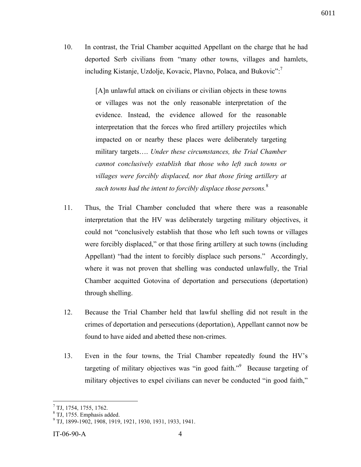10. In contrast, the Trial Chamber acquitted Appellant on the charge that he had deported Serb civilians from "many other towns, villages and hamlets, including Kistanje, Uzdolje, Kovacic, Plavno, Polaca, and Bukovic": $^7$ 

> [A]n unlawful attack on civilians or civilian objects in these towns or villages was not the only reasonable interpretation of the evidence. Instead, the evidence allowed for the reasonable interpretation that the forces who fired artillery projectiles which impacted on or nearby these places were deliberately targeting military targets…. *Under these circumstances, the Trial Chamber cannot conclusively establish that those who left such towns or villages were forcibly displaced, nor that those firing artillery at such towns had the intent to forcibly displace those persons.*<sup>8</sup>

- 11. Thus, the Trial Chamber concluded that where there was a reasonable interpretation that the HV was deliberately targeting military objectives, it could not "conclusively establish that those who left such towns or villages were forcibly displaced," or that those firing artillery at such towns (including Appellant) "had the intent to forcibly displace such persons." Accordingly, where it was not proven that shelling was conducted unlawfully, the Trial Chamber acquitted Gotovina of deportation and persecutions (deportation) through shelling.
- 12. Because the Trial Chamber held that lawful shelling did not result in the crimes of deportation and persecutions (deportation), Appellant cannot now be found to have aided and abetted these non-crimes.
- 13. Even in the four towns, the Trial Chamber repeatedly found the HV's targeting of military objectives was "in good faith." Because targeting of military objectives to expel civilians can never be conducted "in good faith,"

 $^{7}$  TJ, 1754, 1755, 1762.

<sup>&</sup>lt;sup>8</sup> TJ, 1755. Emphasis added.

<sup>9</sup> TJ, 1899-1902, 1908, 1919, 1921, 1930, 1931, 1933, 1941.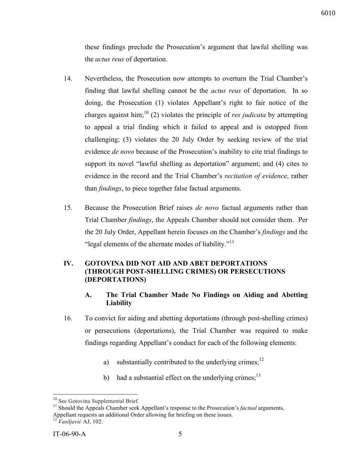these findings preclude the Prosecution's argument that lawful shelling was the *actus reus* of deportation.

- 14. Nevertheless, the Prosecution now attempts to overturn the Trial Chamber's finding that lawful shelling cannot be the *actus reus* of deportation. In so doing, the Prosecution (1) violates Appellant's right to fair notice of the charges against him;<sup>10</sup> (2) violates the principle of *res judicata* by attempting to appeal a trial finding which it failed to appeal and is estopped from challenging; (3) violates the 20 July Order by seeking review of the trial evidence *de novo* because of the Prosecution's inability to cite trial findings to support its novel "lawful shelling as deportation" argument; and (4) cites to evidence in the record and the Trial Chamber's *recitation of evidence*, rather than *findings*, to piece together false factual arguments.
- 15. Because the Prosecution Brief raises *de novo* factual arguments rather than Trial Chamber *findings*, the Appeals Chamber should not consider them. Per the 20 July Order, Appellant herein focuses on the Chamber's *findings* and the "legal elements of the alternate modes of liability."<sup>11</sup>

# **IV. GOTOVINA DID NOT AID AND ABET DEPORTATIONS (THROUGH POST-SHELLING CRIMES) OR PERSECUTIONS (DEPORTATIONS)**

# **A. The Trial Chamber Made No Findings on Aiding and Abetting Liability**

- 16. To convict for aiding and abetting deportations (through post-shelling crimes) or persecutions (deportations), the Trial Chamber was required to make findings regarding Appellant's conduct for each of the following elements:
	- a) substantially contributed to the underlying crimes;<sup>12</sup>
	- b) had a substantial effect on the underlying crimes; $^{13}$

<sup>&</sup>lt;sup>10</sup> See Gotovina Supplemental Brief.<br><sup>11</sup> Should the Appeals Chamber seek Appellant's response to the Prosecution's *factual* arguments, Appellant requests an additional Order allowing for briefing on these issues.

<sup>12</sup> *Vasiljević* AJ, 102.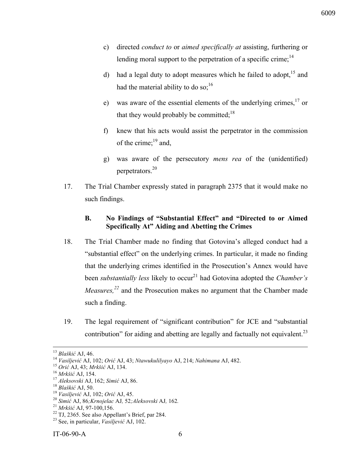- c) directed *conduct to* or *aimed specifically at* assisting, furthering or lending moral support to the perpetration of a specific crime;  $^{14}$
- d) had a legal duty to adopt measures which he failed to adopt,  $15$  and had the material ability to do so; $^{16}$
- e) was aware of the essential elements of the underlying crimes,  $17$  or that they would probably be committed; $^{18}$
- f) knew that his acts would assist the perpetrator in the commission of the crime; $^{19}$  and,
- g) was aware of the persecutory *mens rea* of the (unidentified) perpetrators.20
- 17. The Trial Chamber expressly stated in paragraph 2375 that it would make no such findings.

# **B. No Findings of "Substantial Effect" and "Directed to or Aimed Specifically At" Aiding and Abetting the Crimes**

- 18. The Trial Chamber made no finding that Gotovina's alleged conduct had a "substantial effect" on the underlying crimes. In particular, it made no finding that the underlying crimes identified in the Prosecution's Annex would have been *substantially less* likely to occur<sup>21</sup> had Gotovina adopted the *Chamber's Measures,<sup>22</sup>* and the Prosecution makes no argument that the Chamber made such a finding.
- 19. The legal requirement of "significant contribution" for JCE and "substantial contribution" for aiding and abetting are legally and factually not equivalent.<sup>23</sup>

<sup>&</sup>lt;sup>13</sup> Blaškić AJ, 46.<br><sup>14</sup> Vasiljević AJ, 102; *Orić* AJ, 43; *Ntawukulilyayo* AJ, 214; *Nahimana* AJ, 482.<br><sup>15</sup> *Orić* AJ, 43; *Mrkšić* AJ, 134.<br><sup>16</sup> *Mrkšić* AJ, 154.<br><sup>17</sup> *Aleksovski* AJ, 162; *Simić* AJ, 86.<br><sup>18</sup> *Blaš*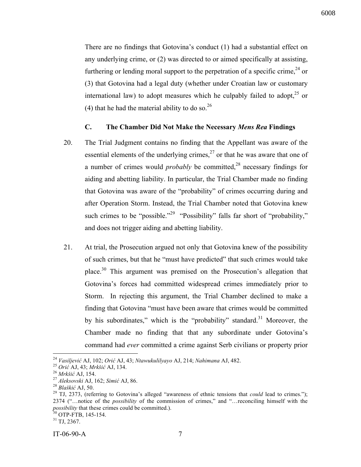6008

There are no findings that Gotovina's conduct (1) had a substantial effect on any underlying crime, or (2) was directed to or aimed specifically at assisting, furthering or lending moral support to the perpetration of a specific crime.<sup>24</sup> or (3) that Gotovina had a legal duty (whether under Croatian law or customary international law) to adopt measures which he culpably failed to adopt,  $2^5$  or (4) that he had the material ability to do so.  $26$ 

#### **C. The Chamber Did Not Make the Necessary** *Mens Rea* **Findings**

- 20. The Trial Judgment contains no finding that the Appellant was aware of the essential elements of the underlying crimes, $27$  or that he was aware that one of a number of crimes would *probably* be committed,<sup>28</sup> necessary findings for aiding and abetting liability. In particular, the Trial Chamber made no finding that Gotovina was aware of the "probability" of crimes occurring during and after Operation Storm. Instead, the Trial Chamber noted that Gotovina knew such crimes to be "possible."<sup>29</sup> "Possibility" falls far short of "probability," and does not trigger aiding and abetting liability.
- 21. At trial, the Prosecution argued not only that Gotovina knew of the possibility of such crimes, but that he "must have predicted" that such crimes would take place.30 This argument was premised on the Prosecution's allegation that Gotovina's forces had committed widespread crimes immediately prior to Storm. In rejecting this argument, the Trial Chamber declined to make a finding that Gotovina "must have been aware that crimes would be committed by his subordinates," which is the "probability" standard.<sup>31</sup> Moreover, the Chamber made no finding that that any subordinate under Gotovina's command had *ever* committed a crime against Serb civilians or property prior

<sup>&</sup>lt;sup>24</sup> Vasiljević AJ, 102; Orić AJ, 43; Ntawukulilyayo AJ, 214; Nahimana AJ, 482.<br><sup>25</sup> Orić AJ, 43; Mrkšić AJ, 134.<br><sup>26</sup> Mrkšić AJ, 154.<br><sup>27</sup> Aleksovski AJ, 162; Simić AJ, 86.<br><sup>28</sup> Blaškić AJ, 50.<br><sup>28</sup> TJ, 2373, (referring 2374 ("…notice of the *possibility* of the commission of crimes," and "…reconciling himself with the *possibility* that these crimes could be committed.).<br><sup>30</sup> OTP-FTB, 145-154.<br><sup>31</sup> TJ, 2367.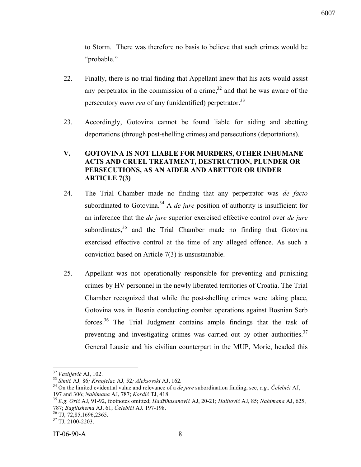to Storm. There was therefore no basis to believe that such crimes would be "probable."

- 22. Finally, there is no trial finding that Appellant knew that his acts would assist any perpetrator in the commission of a crime, $32$  and that he was aware of the persecutory *mens rea* of any (unidentified) perpetrator.<sup>33</sup>
- 23. Accordingly, Gotovina cannot be found liable for aiding and abetting deportations (through post-shelling crimes) and persecutions (deportations).

# **V. GOTOVINA IS NOT LIABLE FOR MURDERS, OTHER INHUMANE ACTS AND CRUEL TREATMENT, DESTRUCTION, PLUNDER OR PERSECUTIONS, AS AN AIDER AND ABETTOR OR UNDER ARTICLE 7(3)**

- 24. The Trial Chamber made no finding that any perpetrator was *de facto* subordinated to Gotovina.<sup>34</sup> A *de jure* position of authority is insufficient for an inference that the *de jure* superior exercised effective control over *de jure* subordinates, $35$  and the Trial Chamber made no finding that Gotovina exercised effective control at the time of any alleged offence. As such a conviction based on Article 7(3) is unsustainable.
- 25. Appellant was not operationally responsible for preventing and punishing crimes by HV personnel in the newly liberated territories of Croatia. The Trial Chamber recognized that while the post-shelling crimes were taking place, Gotovina was in Bosnia conducting combat operations against Bosnian Serb forces.<sup>36</sup> The Trial Judgment contains ample findings that the task of preventing and investigating crimes was carried out by other authorities.<sup>37</sup> General Lausic and his civilian counterpart in the MUP, Moric, headed this

<sup>&</sup>lt;sup>32</sup> Vasiljević AJ, 102.<br><sup>33</sup> Simić AJ, 86*; Krnojelac* AJ, 52*; Aleksovski* AJ, 162.<br><sup>34</sup> On the limited evidential value and relevance of a *de jure* subordination finding, see, *e.g.*, *Čelebići* AJ,

<sup>197</sup> and 306; Nahimana AJ, 787; Kordić TJ, 418.<br><sup>35</sup> E.g. Orić AJ, 91-92, footnotes omitted: *Hadžihasanović* AJ, 20-21; Halilović AJ, 85; Nahimana AJ, 625, 787; *Bagilishema* AJ, 61; *Čelebići* AJ*,* 197-198. <sup>36</sup> TJ, 72,85,1696,2365. <sup>37</sup> TJ, 2100-2203.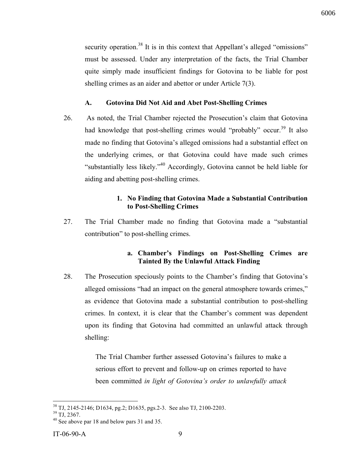security operation.<sup>38</sup> It is in this context that Appellant's alleged "omissions" must be assessed. Under any interpretation of the facts, the Trial Chamber quite simply made insufficient findings for Gotovina to be liable for post shelling crimes as an aider and abettor or under Article 7(3).

#### **A. Gotovina Did Not Aid and Abet Post-Shelling Crimes**

26. As noted, the Trial Chamber rejected the Prosecution's claim that Gotovina had knowledge that post-shelling crimes would "probably" occur.<sup>39</sup> It also made no finding that Gotovina's alleged omissions had a substantial effect on the underlying crimes, or that Gotovina could have made such crimes "substantially less likely."<sup>40</sup> Accordingly, Gotovina cannot be held liable for aiding and abetting post-shelling crimes.

# **1. No Finding that Gotovina Made a Substantial Contribution to Post-Shelling Crimes**

27. The Trial Chamber made no finding that Gotovina made a "substantial contribution" to post-shelling crimes.

# **a. Chamber's Findings on Post-Shelling Crimes are Tainted By the Unlawful Attack Finding**

28. The Prosecution speciously points to the Chamber's finding that Gotovina's alleged omissions "had an impact on the general atmosphere towards crimes," as evidence that Gotovina made a substantial contribution to post-shelling crimes. In context, it is clear that the Chamber's comment was dependent upon its finding that Gotovina had committed an unlawful attack through shelling:

> The Trial Chamber further assessed Gotovina's failures to make a serious effort to prevent and follow-up on crimes reported to have been committed *in light of Gotovina's order to unlawfully attack*

<sup>&</sup>lt;sup>38</sup> TJ, 2145-2146; D1634, pg.2; D1635, pgs.2-3. See also TJ, 2100-2203.<br><sup>39</sup> TJ, 2367.<br><sup>40</sup> See above par 18 and below pars 31 and 35.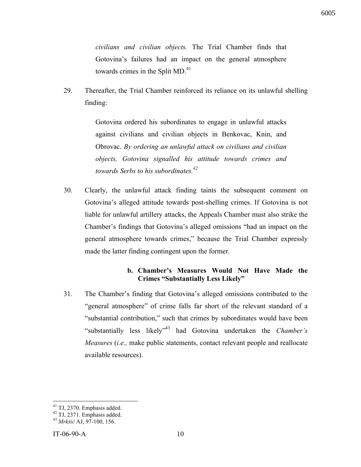*civilians and civilian objects.* The Trial Chamber finds that Gotovina's failures had an impact on the general atmosphere towards crimes in the Split  $MD<sub>1</sub><sup>41</sup>$ 

29. Thereafter, the Trial Chamber reinforced its reliance on its unlawful shelling finding:

> Gotovina ordered his subordinates to engage in unlawful attacks against civilians and civilian objects in Benkovac, Knin, and Obrovac. *By ordering an unlawful attack on civilians and civilian objects, Gotovina signalled his attitude towards crimes and towards Serbs to his subordinates.42*

30. Clearly, the unlawful attack finding taints the subsequent comment on Gotovina's alleged attitude towards post-shelling crimes. If Gotovina is not liable for unlawful artillery attacks, the Appeals Chamber must also strike the Chamber's findings that Gotovina's alleged omissions "had an impact on the general atmosphere towards crimes," because the Trial Chamber expressly made the latter finding contingent upon the former.

# **b. Chamber's Measures Would Not Have Made the Crimes "Substantially Less Likely"**

31. The Chamber's finding that Gotovina's alleged omissions contributed to the "general atmosphere" of crime falls far short of the relevant standard of a "substantial contribution," such that crimes by subordinates would have been "substantially less likely"43 had Gotovina undertaken the *Chamber's Measures* (*i.e.,* make public statements, contact relevant people and reallocate available resources).

<sup>41</sup> TJ, 2370. Emphasis added. <sup>42</sup> TJ, 2371. Emphasis added. <sup>43</sup> *Mrkši<sup>ć</sup>* AJ, 97-100, 156.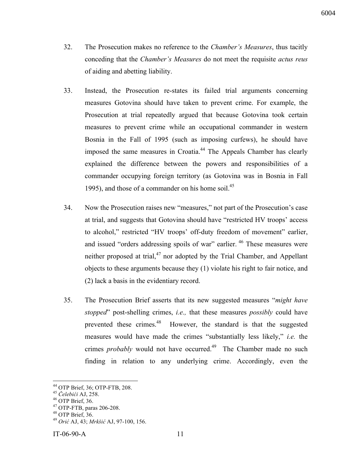- 32. The Prosecution makes no reference to the *Chamber's Measures*, thus tacitly conceding that the *Chamber's Measures* do not meet the requisite *actus reus* of aiding and abetting liability.
- 33. Instead, the Prosecution re-states its failed trial arguments concerning measures Gotovina should have taken to prevent crime. For example, the Prosecution at trial repeatedly argued that because Gotovina took certain measures to prevent crime while an occupational commander in western Bosnia in the Fall of 1995 (such as imposing curfews), he should have imposed the same measures in Croatia.<sup>44</sup> The Appeals Chamber has clearly explained the difference between the powers and responsibilities of a commander occupying foreign territory (as Gotovina was in Bosnia in Fall 1995), and those of a commander on his home soil. $^{45}$
- 34. Now the Prosecution raises new "measures," not part of the Prosecution's case at trial, and suggests that Gotovina should have "restricted HV troops' access to alcohol," restricted "HV troops' off-duty freedom of movement" earlier, and issued "orders addressing spoils of war" earlier.  $46$  These measures were neither proposed at trial, $47$  nor adopted by the Trial Chamber, and Appellant objects to these arguments because they (1) violate his right to fair notice, and (2) lack a basis in the evidentiary record.
- 35. The Prosecution Brief asserts that its new suggested measures "*might have stopped*" post-shelling crimes, *i.e.,* that these measures *possibly* could have prevented these crimes.<sup>48</sup> However, the standard is that the suggested measures would have made the crimes "substantially less likely," *i.e.* the crimes *probably* would not have occurred.<sup>49</sup> The Chamber made no such finding in relation to any underlying crime. Accordingly, even the

<sup>&</sup>lt;sup>44</sup> OTP Brief, 36; OTP-FTB, 208.<br>
<sup>45</sup> Celebići AJ, 258.<br>
<sup>46</sup> OTP Brief, 36.<br>
<sup>47</sup> OTP-FTB, paras 206-208.<br>
<sup>48</sup> OTP Brief, 36.<br>
<sup>49</sup> Orić AJ, 43; *Mrkšić* AJ, 97-100, 156.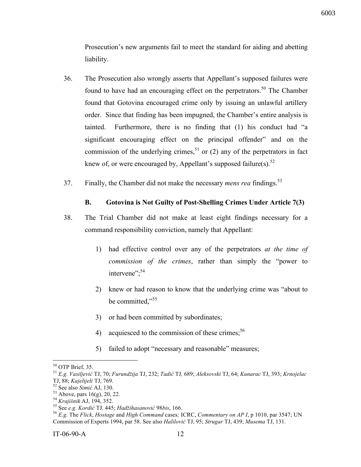Prosecution's new arguments fail to meet the standard for aiding and abetting liability.

- 36. The Prosecution also wrongly asserts that Appellant's supposed failures were found to have had an encouraging effect on the perpetrators.<sup>50</sup> The Chamber found that Gotovina encouraged crime only by issuing an unlawful artillery order. Since that finding has been impugned, the Chamber's entire analysis is tainted. Furthermore, there is no finding that (1) his conduct had "a significant encouraging effect on the principal offender" and on the commission of the underlying crimes,<sup>51</sup> or (2) any of the perpetrators in fact knew of, or were encouraged by, Appellant's supposed failure(s).<sup>52</sup>
- 37. Finally, the Chamber did not make the necessary *mens rea* findings.<sup>53</sup>

# **B. Gotovina is Not Guilty of Post-Shelling Crimes Under Article 7(3)**

- 38. The Trial Chamber did not make at least eight findings necessary for a command responsibility conviction, namely that Appellant:
	- 1) had effective control over any of the perpetrators *at the time of commission of the crimes*, rather than simply the "power to intervene";<sup>54</sup>
	- 2) knew or had reason to know that the underlying crime was "about to be committed,"<sup>55</sup>
	- 3) or had been committed by subordinates;
	- 4) acquiesced to the commission of these crimes;  $56$
	- 5) failed to adopt "necessary and reasonable" measures;

<sup>50</sup> OTP Brief, 35. <sup>51</sup> *E.g. Vasiljevi<sup>ć</sup>* TJ, 70; *Furundžija* TJ, 232; *Tadi<sup>ć</sup>* TJ*,* 689; *Aleksovski* TJ, 64; *Kunarac* TJ, 393; *Krnojelac* TJ, 88; *Kajelijeli* TJ, 769.<br>
<sup>52</sup> See also *Simić* AJ, 130.<br>
<sup>53</sup> Above, pars 16(g), 20, 22.<br>
<sup>54</sup> Krajišnik AJ, 194, 352.<br>
<sup>55</sup> See *e.g. Kordić* TJ, 445; *Hadžihasanović* 98bis, 166.<br>
<sup>56</sup> E.g. The Flick, *Hostage* an

Commission of Experts 1994, par 58. See also *Halilović* TJ, 95; *Strugar* TJ, 439; *Musema* TJ, 131.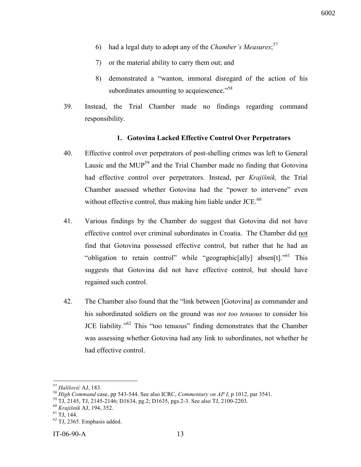- 6) had a legal duty to adopt any of the *Chamber's Measures*; 57
- 7) or the material ability to carry them out; and
- 8) demonstrated a "wanton, immoral disregard of the action of his subordinates amounting to acquiescence."<sup>58</sup>
- 39. Instead, the Trial Chamber made no findings regarding command responsibility.

#### **1. Gotovina Lacked Effective Control Over Perpetrators**

- 40. Effective control over perpetrators of post-shelling crimes was left to General Lausic and the MUP<sup>59</sup> and the Trial Chamber made no finding that Gotovina had effective control over perpetrators. Instead, per *Krajišnik,* the Trial Chamber assessed whether Gotovina had the "power to intervene" even without effective control, thus making him liable under  $JCE<sub>0</sub>$ <sup>60</sup>
- 41. Various findings by the Chamber do suggest that Gotovina did not have effective control over criminal subordinates in Croatia. The Chamber did not find that Gotovina possessed effective control, but rather that he had an "obligation to retain control" while "geographic[ally] absen[t]<sup>[1,161</sup> This suggests that Gotovina did not have effective control, but should have regained such control.
- 42. The Chamber also found that the "link between [Gotovina] as commander and his subordinated soldiers on the ground was *not too tenuous* to consider his JCE liability."62 This "too tenuous" finding demonstrates that the Chamber was assessing whether Gotovina had any link to subordinates, not whether he had effective control.

<sup>&</sup>lt;sup>57</sup> Halilović AJ, 183.<br><sup>58</sup> High Command case, pp 543-544. See also ICRC, Commentary on AP I, p 1012, par 3541.<br><sup>59</sup> TJ, 2145, TJ, 2145-2146; D1634, pg.2; D1635, pgs.2-3. See also TJ, 2100-2203.<br><sup>60</sup> Krajišnik AJ, 194, 3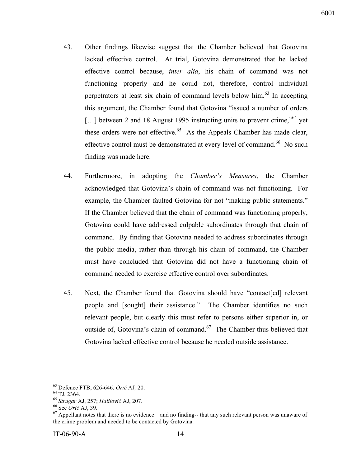- 43. Other findings likewise suggest that the Chamber believed that Gotovina lacked effective control. At trial, Gotovina demonstrated that he lacked effective control because, *inter alia*, his chain of command was not functioning properly and he could not, therefore, control individual perpetrators at least six chain of command levels below him.<sup>63</sup> In accepting this argument, the Chamber found that Gotovina "issued a number of orders [...] between 2 and 18 August 1995 instructing units to prevent crime,<sup>564</sup> vet these orders were not effective.<sup>65</sup> As the Appeals Chamber has made clear, effective control must be demonstrated at every level of command.<sup>66</sup> No such finding was made here.
- 44. Furthermore, in adopting the *Chamber's Measures*, the Chamber acknowledged that Gotovina's chain of command was not functioning. For example, the Chamber faulted Gotovina for not "making public statements." If the Chamber believed that the chain of command was functioning properly, Gotovina could have addressed culpable subordinates through that chain of command. By finding that Gotovina needed to address subordinates through the public media, rather than through his chain of command, the Chamber must have concluded that Gotovina did not have a functioning chain of command needed to exercise effective control over subordinates.
- 45. Next, the Chamber found that Gotovina should have "contact[ed] relevant people and [sought] their assistance." The Chamber identifies no such relevant people, but clearly this must refer to persons either superior in, or outside of, Gotovina's chain of command.<sup>67</sup> The Chamber thus believed that Gotovina lacked effective control because he needed outside assistance.

<sup>&</sup>lt;sup>63</sup> Defence FTB, 626-646. *Orić* AJ, 20.<br><sup>64</sup> TJ, 2364.<br><sup>65</sup> Strugar AJ, 257; Halilović AJ, 207.<br><sup>66</sup> See *Orić* AJ, 39.<br><sup>67</sup> Appellant notes that there is no evidence—and no finding-- that any such relevant person was u the crime problem and needed to be contacted by Gotovina.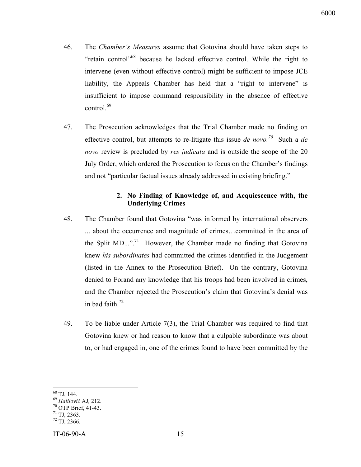- 46. The *Chamber's Measures* assume that Gotovina should have taken steps to "retain control"<sup>68</sup> because he lacked effective control. While the right to intervene (even without effective control) might be sufficient to impose JCE liability, the Appeals Chamber has held that a "right to intervene" is insufficient to impose command responsibility in the absence of effective control.<sup>69</sup>
- 47. The Prosecution acknowledges that the Trial Chamber made no finding on effective control, but attempts to re-litigate this issue *de novo.70* Such a *de novo* review is precluded by *res judicata* and is outside the scope of the 20 July Order, which ordered the Prosecution to focus on the Chamber's findings and not "particular factual issues already addressed in existing briefing."

# **2. No Finding of Knowledge of, and Acquiescence with, the Underlying Crimes**

- 48. The Chamber found that Gotovina "was informed by international observers ... about the occurrence and magnitude of crimes…committed in the area of the Split MD...".<sup>71</sup> However, the Chamber made no finding that Gotovina knew *his subordinates* had committed the crimes identified in the Judgement (listed in the Annex to the Prosecution Brief). On the contrary, Gotovina denied to Forand any knowledge that his troops had been involved in crimes, and the Chamber rejected the Prosecution's claim that Gotovina's denial was in bad faith. $72$
- 49. To be liable under Article 7(3), the Trial Chamber was required to find that Gotovina knew or had reason to know that a culpable subordinate was about to, or had engaged in, one of the crimes found to have been committed by the

<sup>&</sup>lt;sup>68</sup> TJ, 144.<br><sup>69</sup> *Halilović* AJ, 212.<br><sup>70</sup> OTP Brief, 41-43.<br><sup>71</sup> TJ, 2363.<br><sup>72</sup> TJ, 2366.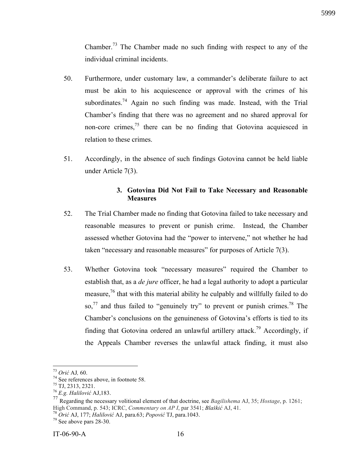Chamber.<sup>73</sup> The Chamber made no such finding with respect to any of the individual criminal incidents.

- 50. Furthermore, under customary law, a commander's deliberate failure to act must be akin to his acquiescence or approval with the crimes of his subordinates.<sup>74</sup> Again no such finding was made. Instead, with the Trial Chamber's finding that there was no agreement and no shared approval for non-core crimes, $<sup>75</sup>$  there can be no finding that Gotovina acquiesced in</sup> relation to these crimes.
- 51. Accordingly, in the absence of such findings Gotovina cannot be held liable under Article 7(3).

#### **3. Gotovina Did Not Fail to Take Necessary and Reasonable Measures**

- 52. The Trial Chamber made no finding that Gotovina failed to take necessary and reasonable measures to prevent or punish crime. Instead, the Chamber assessed whether Gotovina had the "power to intervene," not whether he had taken "necessary and reasonable measures" for purposes of Article 7(3).
- 53. Whether Gotovina took "necessary measures" required the Chamber to establish that, as a *de jure* officer, he had a legal authority to adopt a particular measure,<sup>76</sup> that with this material ability he culpably and willfully failed to do so,<sup>77</sup> and thus failed to "genuinely try" to prevent or punish crimes.<sup>78</sup> The Chamber's conclusions on the genuineness of Gotovina's efforts is tied to its finding that Gotovina ordered an unlawful artillery attack.<sup>79</sup> Accordingly, if the Appeals Chamber reverses the unlawful attack finding, it must also

<sup>73</sup> *Ori<sup>ć</sup>* AJ*,* 60. <sup>74</sup> See references above, in footnote 58. 75 TJ, 2313, 2321. <sup>76</sup> *E.g. Halilovi<sup>ć</sup>* AJ,183.

<sup>77</sup> Regarding the necessary volitional element of that doctrine, see *Bagilishema* AJ, 35; *Hostage*, p. 1261; High Command, p. 543; ICRC, *Commentary on AP I*, par 3541; *Blaškić* AJ, 41.<br><sup>78</sup> *Orić* AJ, 177; *Halilović* AJ, para.63; *Popović* TJ, para.1043.<br><sup>79</sup> See above pars 28-30.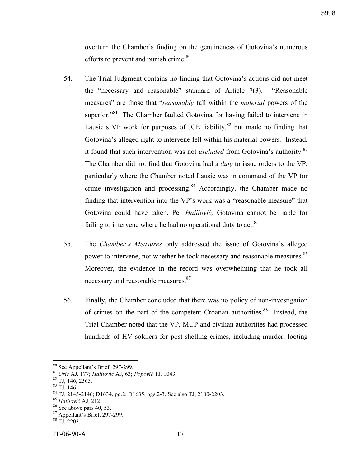overturn the Chamber's finding on the genuineness of Gotovina's numerous efforts to prevent and punish crime. $80$ 

- 54. The Trial Judgment contains no finding that Gotovina's actions did not meet the "necessary and reasonable" standard of Article 7(3). "Reasonable measures" are those that "*reasonably* fall within the *material* powers of the superior."<sup>81</sup> The Chamber faulted Gotovina for having failed to intervene in Lausic's VP work for purposes of JCE liability, $82$  but made no finding that Gotovina's alleged right to intervene fell within his material powers*.* Instead, it found that such intervention was not *excluded* from Gotovina's authority.<sup>83</sup> The Chamber did not find that Gotovina had a *duty* to issue orders to the VP, particularly where the Chamber noted Lausic was in command of the VP for crime investigation and processing.<sup>84</sup> Accordingly, the Chamber made no finding that intervention into the VP's work was a "reasonable measure" that Gotovina could have taken. Per *Halilović,* Gotovina cannot be liable for failing to intervene where he had no operational duty to act. $85$
- 55. The *Chamber's Measures* only addressed the issue of Gotovina's alleged power to intervene, not whether he took necessary and reasonable measures.<sup>86</sup> Moreover, the evidence in the record was overwhelming that he took all necessary and reasonable measures.<sup>87</sup>
- 56. Finally, the Chamber concluded that there was no policy of non-investigation of crimes on the part of the competent Croatian authorities.<sup>88</sup> Instead, the Trial Chamber noted that the VP, MUP and civilian authorities had processed hundreds of HV soldiers for post-shelling crimes, including murder, looting

<sup>&</sup>lt;sup>80</sup> See Appellant's Brief, 297-299.<br>
<sup>81</sup> *Orić* AJ, 177; *Halilović* AJ, 63; *Popović* TJ, 1043.<br>
<sup>82</sup> TJ, 146, 2365.<br>
<sup>83</sup> TJ, 146.<br>
<sup>84</sup> TJ, 2145-2146; D1634, pg.2; D1635, pgs.2-3. See also TJ, 2100-2203.<br>
<sup>85</sup> *Halil*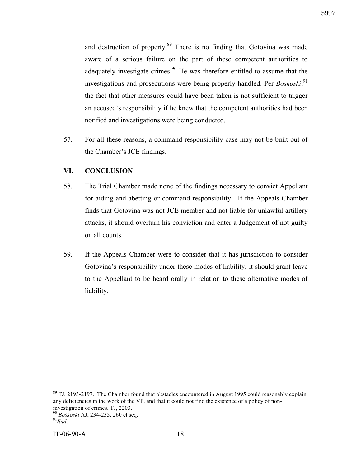and destruction of property.<sup>89</sup> There is no finding that Gotovina was made aware of a serious failure on the part of these competent authorities to adequately investigate crimes.<sup>90</sup> He was therefore entitled to assume that the investigations and prosecutions were being properly handled. Per *Boskoski*,<sup>91</sup> the fact that other measures could have been taken is not sufficient to trigger an accused's responsibility if he knew that the competent authorities had been notified and investigations were being conducted.

57. For all these reasons, a command responsibility case may not be built out of the Chamber's JCE findings.

# **VI. CONCLUSION**

- 58. The Trial Chamber made none of the findings necessary to convict Appellant for aiding and abetting or command responsibility. If the Appeals Chamber finds that Gotovina was not JCE member and not liable for unlawful artillery attacks, it should overturn his conviction and enter a Judgement of not guilty on all counts.
- 59. If the Appeals Chamber were to consider that it has jurisdiction to consider Gotovina's responsibility under these modes of liability, it should grant leave to the Appellant to be heard orally in relation to these alternative modes of liability.

<sup>&</sup>lt;sup>89</sup> TJ, 2193-2197. The Chamber found that obstacles encountered in August 1995 could reasonably explain any deficiencies in the work of the VP, and that it could not find the existence of a policy of noninvestigation of crimes. TJ, 2203.

<sup>&</sup>lt;sup>90</sup> *Boškoski* AJ, 234-235, 260 et seq.<br><sup>91</sup>*Ibid*.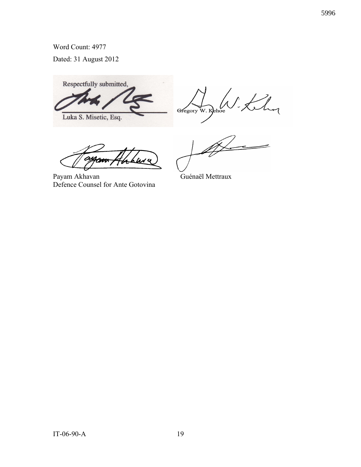Word Count: 4977

Dated: 31 August 2012

Respectfully submitted, Luka S. Misetic, Esq.

tehor Gregory W. Kehoe

.<br>'LN 4

Payam Akhavan Guénaël Mettraux Defence Counsel for Ante Gotovina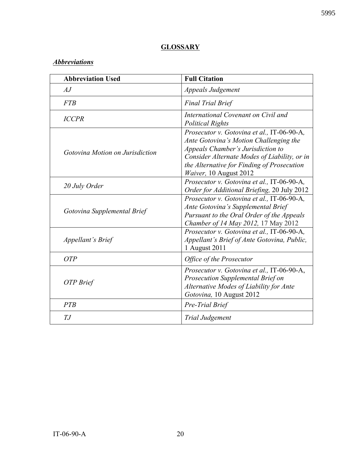# **GLOSSARY**

# *Abbreviations*

| <b>Abbreviation Used</b>        | <b>Full Citation</b>                                                                                                                                                                                                                              |
|---------------------------------|---------------------------------------------------------------------------------------------------------------------------------------------------------------------------------------------------------------------------------------------------|
| AJ                              | Appeals Judgement                                                                                                                                                                                                                                 |
| <b>FTB</b>                      | <b>Final Trial Brief</b>                                                                                                                                                                                                                          |
| <b>ICCPR</b>                    | International Covenant on Civil and<br><b>Political Rights</b>                                                                                                                                                                                    |
| Gotovina Motion on Jurisdiction | Prosecutor v. Gotovina et al., IT-06-90-A,<br>Ante Gotovina's Motion Challenging the<br>Appeals Chamber's Jurisdiction to<br>Consider Alternate Modes of Liability, or in<br>the Alternative for Finding of Prosecution<br>Waiver, 10 August 2012 |
| 20 July Order                   | Prosecutor v. Gotovina et al., IT-06-90-A,<br>Order for Additional Briefing, 20 July 2012                                                                                                                                                         |
| Gotovina Supplemental Brief     | Prosecutor v. Gotovina et al., IT-06-90-A,<br>Ante Gotovina's Supplemental Brief<br>Pursuant to the Oral Order of the Appeals<br>Chamber of 14 May 2012, 17 May 2012                                                                              |
| <i>Appellant's Brief</i>        | Prosecutor v. Gotovina et al., IT-06-90-A,<br>Appellant's Brief of Ante Gotovina, Public,<br>1 August 2011                                                                                                                                        |
| <b>OTP</b>                      | Office of the Prosecutor                                                                                                                                                                                                                          |
| OTP Brief                       | Prosecutor v. Gotovina et al., IT-06-90-A,<br>Prosecution Supplemental Brief on<br>Alternative Modes of Liability for Ante<br>Gotovina, 10 August 2012                                                                                            |
| <b>PTB</b>                      | Pre-Trial Brief                                                                                                                                                                                                                                   |
| TJ                              | Trial Judgement                                                                                                                                                                                                                                   |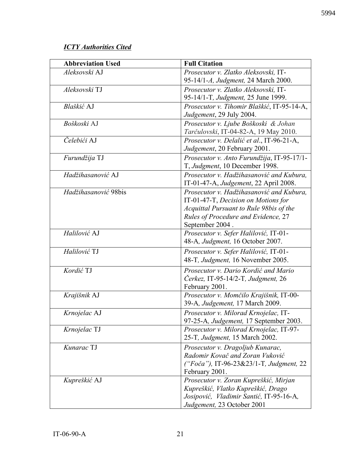# *ICTY Authorities Cited*

| <b>Abbreviation Used</b> | <b>Full Citation</b>                       |
|--------------------------|--------------------------------------------|
| Aleksovski AJ            | Prosecutor v. Zlatko Aleksovski, IT-       |
|                          | 95-14/1-A, Judgment, 24 March 2000.        |
| Aleksovski TJ            | Prosecutor v. Zlatko Aleksovski, IT-       |
|                          | 95-14/1-T, Judgment, 25 June 1999.         |
| Blaškić AJ               | Prosecutor v. Tihomir Blaškić, IT-95-14-A, |
|                          | Judgement, 29 July 2004.                   |
| Boškoski AJ              | Prosecutor v. Ljube Boškoski & Johan       |
|                          | Tarčulovski, IT-04-82-A, 19 May 2010.      |
| Čelebići AJ              | Prosecutor v. Delalić et al., IT-96-21-A,  |
|                          | Judgement, 20 February 2001.               |
| Furundžija TJ            | Prosecutor v. Anto Furundžija, IT-95-17/1- |
|                          | T, Judgment, 10 December 1998.             |
| Hadžihasanović AJ        | Prosecutor v. Hadžihasanović and Kubura,   |
|                          | IT-01-47-A, Judgement, 22 April 2008.      |
| Hadžihasanović 98bis     | Prosecutor v. Hadžihasanović and Kubura,   |
|                          | IT-01-47-T, Decision on Motions for        |
|                          | Acquittal Pursuant to Rule 98bis of the    |
|                          | Rules of Procedure and Evidence, 27        |
|                          | September 2004.                            |
| Halilović AJ             | Prosecutor v. Sefer Halilović, IT-01-      |
|                          | 48-A, Judgment, 16 October 2007.           |
| Halilović TJ             | Prosecutor v. Sefer Halilović, IT-01-      |
|                          | 48-T, Judgment, 16 November 2005.          |
| Kordić TJ                | Prosecutor v. Dario Kordić and Mario       |
|                          | Čerkez, IT-95-14/2-T, Judgment, 26         |
|                          | February 2001.                             |
| Krajišnik AJ             | Prosecutor v. Momčilo Krajišnik, IT-00-    |
|                          | 39-A, Judgement, 17 March 2009.            |
| Krnojelac AJ             | Prosecutor v. Milorad Krnojelac, IT-       |
|                          | 97-25-A, Judgement, 17 September 2003.     |
| Krnojelac TJ             | Prosecutor v. Milorad Krnojelac, IT-97-    |
|                          | 25-T, Judgment, 15 March 2002.             |
| Kunarac TJ               | Prosecutor v. Dragoljub Kunarac,           |
|                          | Radomir Kovač and Zoran Vuković            |
|                          | ("Foča"), IT-96-23&23/1-T, Judgment, 22    |
|                          | February 2001.                             |
| Kupreškić AJ             | Prosecutor v. Zoran Kupreškić, Mirjan      |
|                          | Kupreškić, Vlatko Kupreškić, Drago         |
|                          | Josipović, Vladimir Santić, IT-95-16-A,    |
|                          | Judgement, 23 October 2001                 |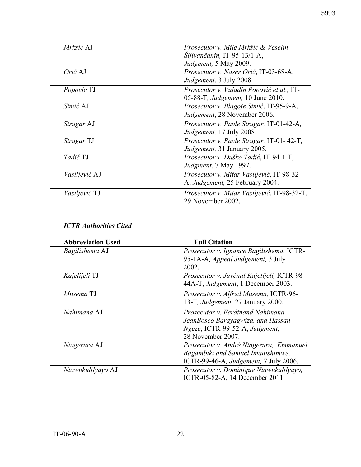| Mrkšić AJ            | Prosecutor v. Mile Mrkšić & Veselin         |
|----------------------|---------------------------------------------|
|                      | $\dot{S}$ ljivančanin, IT-95-13/1-A,        |
|                      | Judgment, 5 May 2009.                       |
| Orić AJ              | Prosecutor v. Naser Orić, IT-03-68-A,       |
|                      | Judgement, 3 July 2008.                     |
| Popović TJ           | Prosecutor v. Vujadin Popović et al., IT-   |
|                      | 05-88-T, Judgement, 10 June 2010.           |
| Simić AJ             | Prosecutor v. Blagoje Simić, IT-95-9-A,     |
|                      | Judgement, 28 November 2006.                |
| <i>Strugar</i> AJ    | Prosecutor v. Pavle Strugar, IT-01-42-A,    |
|                      | Judgement, 17 July 2008.                    |
| Strugar TJ           | Prosecutor v. Pavle Strugar, IT-01-42-T,    |
|                      | Judgement, 31 January 2005.                 |
| Tadić TJ             | Prosecutor v. Duško Tadić, IT-94-1-T,       |
|                      | Judgment, 7 May 1997.                       |
| <i>Vasiljević</i> AJ | Prosecutor v. Mitar Vasiljević, IT-98-32-   |
|                      | A, Judgement, 25 February 2004.             |
| <i>Vasiljević</i> TJ | Prosecutor v. Mitar Vasiljević, IT-98-32-T, |
|                      | 29 November 2002.                           |

# *ICTR Authorities Cited*

| <b>Abbreviation Used</b> | <b>Full Citation</b>                                                                                                          |
|--------------------------|-------------------------------------------------------------------------------------------------------------------------------|
| Bagilishema AJ           | Prosecutor v. Ignance Bagilishema. ICTR-<br>95-1A-A, Appeal Judgement, 3 July<br>2002.                                        |
| Kajelijeli TJ            | Prosecutor v. Juvénal Kajelijeli, ICTR-98-<br>44A-T, Judgement, 1 December 2003.                                              |
| Musema TJ                | Prosecutor v. Alfred Musema, ICTR-96-<br>13-T, <i>Judgement</i> , 27 January 2000.                                            |
| Nahimana AJ              | Prosecutor v. Ferdinand Nahimana,<br>JeanBosco Barayagwiza, and Hassan<br>Ngeze, ICTR-99-52-A, Judgment,<br>28 November 2007. |
| Ntagerura AJ             | Prosecutor v. André Ntagerura, Emmanuel<br>Bagambiki and Samuel Imanishimwe,<br>ICTR-99-46-A, Judgement, 7 July 2006.         |
| Ntawukulilyayo AJ        | Prosecutor v. Dominique Ntawukulilyayo,<br>ICTR-05-82-A, 14 December 2011.                                                    |